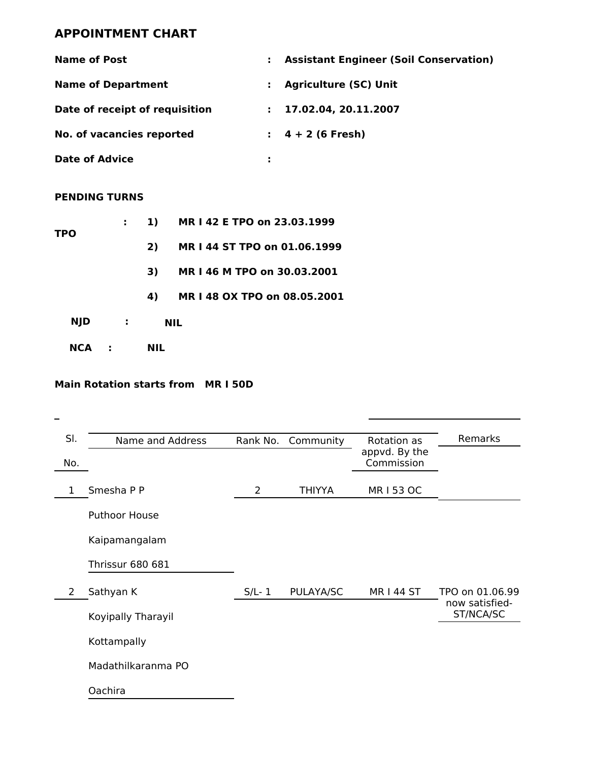## **APPOINTMENT CHART**

| <b>Name of Post</b>            | <b>Assistant Engineer (Soil Conservation)</b><br>÷. |
|--------------------------------|-----------------------------------------------------|
| <b>Name of Department</b>      | <b>Agriculture (SC) Unit</b><br>÷.                  |
| Date of receipt of requisition | 17.02.04, 20.11.2007<br>$\mathbf{L}$                |
| No. of vacancies reported      | $\pm$ 4 + 2 (6 Fresh)                               |
| <b>Date of Advice</b>          |                                                     |

## **PENDING TURNS**

| NCA        | $\mathbf{L}$ |            | NIL          |                              |
|------------|--------------|------------|--------------|------------------------------|
| <b>NJD</b> |              | $\sim 100$ |              | NIL.                         |
|            |              |            | 4)           | MR I 48 OX TPO on 08.05.2001 |
|            |              |            | 3)           | MR I 46 M TPO on 30.03.2001  |
|            |              |            | 2)           | MR I 44 ST TPO on 01.06.1999 |
| TPO        |              |            | $\mathbf{1}$ | MR I 42 E TPO on 23.03.1999  |

### **Main Rotation starts from MR I 50D**

| SI. | Name and Address        | Rank No. | Community     | Rotation as                 | Remarks                     |
|-----|-------------------------|----------|---------------|-----------------------------|-----------------------------|
| No. |                         |          |               | appvd. By the<br>Commission |                             |
| 1   | Smesha P P              | 2        | <b>THIYYA</b> | MR I 53 OC                  |                             |
|     | Puthoor House           |          |               |                             |                             |
|     | Kaipamangalam           |          |               |                             |                             |
|     | <b>Thrissur 680 681</b> |          |               |                             |                             |
| 2   | Sathyan K               | $S/L-1$  | PULAYA/SC     | <b>MR144 ST</b>             | TPO on 01.06.99             |
|     | Koyipally Tharayil      |          |               |                             | now satisfied-<br>ST/NCA/SC |
|     | Kottampally             |          |               |                             |                             |
|     | Madathilkaranma PO      |          |               |                             |                             |
|     | Oachira                 |          |               |                             |                             |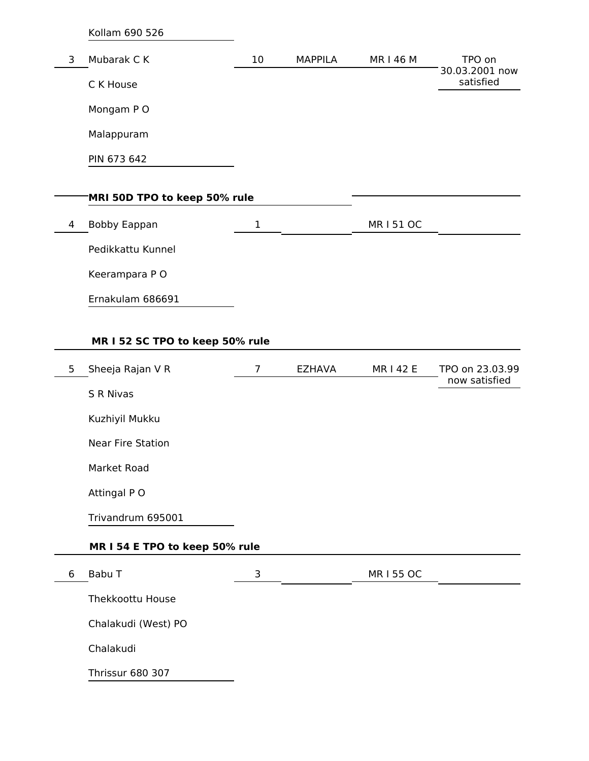Kollam 690 526 3 Mubarak C K C K House Mongam P O Malappuram PIN 673 642 10 MAPPILA MR I 46 M TPO on 30.03.2001 now satisfied **MRI 50D TPO to keep 50% rule** 4 Bobby Eappan Pedikkattu Kunnel Keerampara P O Ernakulam 686691 1 MR I 51 OC

## **MR I 52 SC TPO to keep 50% rule**

| 5 | Sheeja Rajan V R               | 7 | <b>EZHAVA</b> | <b>MR142E</b> | TPO on 23.03.99<br>now satisfied |
|---|--------------------------------|---|---------------|---------------|----------------------------------|
|   | S R Nivas                      |   |               |               |                                  |
|   | Kuzhiyil Mukku                 |   |               |               |                                  |
|   | <b>Near Fire Station</b>       |   |               |               |                                  |
|   | Market Road                    |   |               |               |                                  |
|   | Attingal PO                    |   |               |               |                                  |
|   | Trivandrum 695001              |   |               |               |                                  |
|   | MR I 54 E TPO to keep 50% rule |   |               |               |                                  |
| 6 | Babu T                         | 3 |               | MR I 55 OC    |                                  |
|   | Thekkoottu House               |   |               |               |                                  |
|   | Chalakudi (West) PO            |   |               |               |                                  |
|   | Chalakudi                      |   |               |               |                                  |
|   | <b>Thrissur 680 307</b>        |   |               |               |                                  |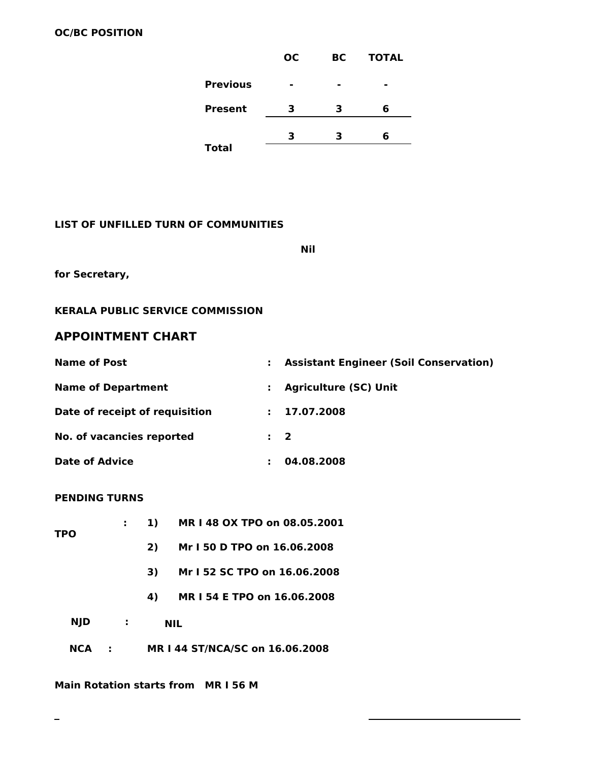|                 | <b>OC</b> | BС | <b>TOTAL</b> |
|-----------------|-----------|----|--------------|
| <b>Previous</b> | -         | -  |              |
| <b>Present</b>  | З         | 3  | 6            |
| <b>Total</b>    | 3         | 3  | 6            |
|                 |           |    |              |

#### **LIST OF UNFILLED TURN OF COMMUNITIES**

**Nil**

**for Secretary,**

#### **KERALA PUBLIC SERVICE COMMISSION**

## **APPOINTMENT CHART**

| <b>Name of Post</b>            |                | <b>Assistant Engineer (Soil Conservation)</b> |
|--------------------------------|----------------|-----------------------------------------------|
| <b>Name of Department</b>      |                | <b>Agriculture (SC) Unit</b>                  |
| Date of receipt of requisition | t i            | 17.07.2008                                    |
| No. of vacancies reported      | $\mathbf{1}$ 2 |                                               |
| <b>Date of Advice</b>          |                | 04.08.2008                                    |

#### **PENDING TURNS**

| <b>TPO</b> |             | 1) | MR I 48 OX TPO on 08.05.2001    |
|------------|-------------|----|---------------------------------|
|            |             | 2) | Mr I 50 D TPO on 16.06.2008     |
|            |             | 3) | Mr I 52 SC TPO on 16.06.2008    |
|            |             | 4) | MR I 54 E TPO on 16.06.2008     |
| NJD        | $\sim 1000$ |    | <b>NIL</b>                      |
| NCA        |             |    | MR I 44 ST/NCA/SC on 16.06.2008 |

**Main Rotation starts from MR I 56 M**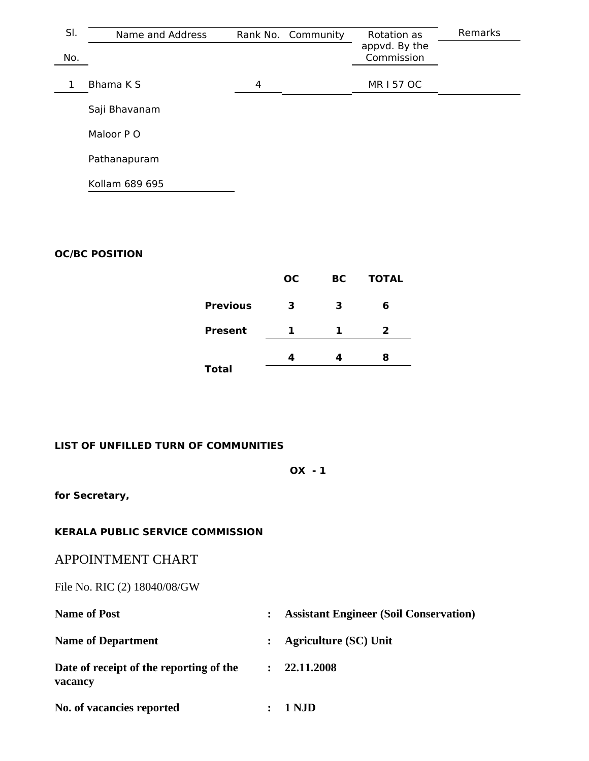| SI. | Name and Address | Rank No. Community |  | Rotation as                 | Remarks |
|-----|------------------|--------------------|--|-----------------------------|---------|
| No. |                  |                    |  | appvd. By the<br>Commission |         |
|     | Bhama K S        | 4                  |  | MR I 57 OC                  |         |
|     | Saji Bhavanam    |                    |  |                             |         |
|     | Maloor P O       |                    |  |                             |         |
|     | Pathanapuram     |                    |  |                             |         |
|     | Kollam 689 695   |                    |  |                             |         |

## **OC/BC POSITION**

|                 | <b>OC</b> | BC. | <b>TOTAL</b> |  |
|-----------------|-----------|-----|--------------|--|
| <b>Previous</b> | з         | 3   | 6            |  |
| <b>Present</b>  | 1         | ı.  | 2            |  |
|                 |           |     | 8            |  |
| <b>Total</b>    |           |     |              |  |

## **LIST OF UNFILLED TURN OF COMMUNITIES**

**OX - 1**

**for Secretary,**

### **KERALA PUBLIC SERVICE COMMISSION**

## APPOINTMENT CHART

File No. RIC (2) 18040/08/GW

| <b>Name of Post</b>                                |                      | <b>Assistant Engineer (Soil Conservation)</b> |
|----------------------------------------------------|----------------------|-----------------------------------------------|
| <b>Name of Department</b>                          |                      | <b>Agriculture (SC) Unit</b>                  |
| Date of receipt of the reporting of the<br>vacancy | $\ddot{\phantom{a}}$ | 22.11.2008                                    |
| No. of vacancies reported                          |                      | 1 NJD                                         |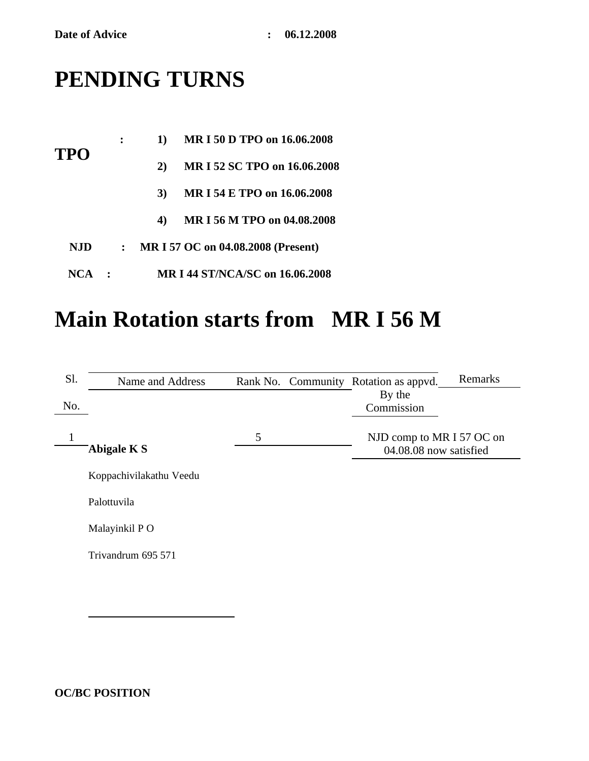# **PENDING TURNS**

|            | ∶            | 1) | MR I 50 D TPO on 16.06.2008        |
|------------|--------------|----|------------------------------------|
| TPO        |              | 2) | MR I 52 SC TPO on 16.06.2008       |
|            |              | 3) | MR I 54 E TPO on 16.06.2008        |
|            |              | 4) | MR I 56 M TPO on 04.08.2008        |
| <b>NJD</b> | $\mathbf{L}$ |    | MR I 57 OC on 04.08.2008 (Present) |
| NCA        |              |    | MR I 44 ST/NCA/SC on 16.06.2008    |

# **Main Rotation starts from MR I 56 M**

| Sl. | Name and Address        |   | Rank No. Community Rotation as appvd.               | Remarks |
|-----|-------------------------|---|-----------------------------------------------------|---------|
| No. |                         |   | By the<br>Commission                                |         |
| 1   | <b>Abigale K S</b>      | 5 | NJD comp to MR I 57 OC on<br>04.08.08 now satisfied |         |
|     | Koppachivilakathu Veedu |   |                                                     |         |
|     | Palottuvila             |   |                                                     |         |
|     | Malayinkil PO           |   |                                                     |         |
|     | Trivandrum 695 571      |   |                                                     |         |
|     |                         |   |                                                     |         |

**OC/BC POSITION**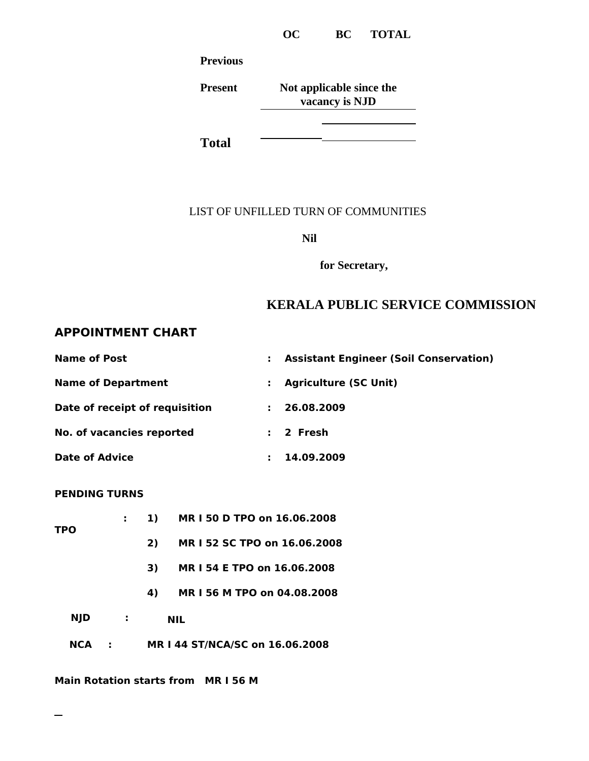**OC BC TOTAL**

**Previous**

**Present Not applicable since the vacancy is NJD**

**Total**

## LIST OF UNFILLED TURN OF COMMUNITIES

**Nil**

**for Secretary,**

## **KERALA PUBLIC SERVICE COMMISSION**

## **APPOINTMENT CHART**

| <b>Name of Post</b>            | ÷. | <b>Assistant Engineer (Soil Conservation)</b> |
|--------------------------------|----|-----------------------------------------------|
| <b>Name of Department</b>      | ÷. | <b>Agriculture (SC Unit)</b>                  |
| Date of receipt of requisition | ÷. | 26.08.2009                                    |
| No. of vacancies reported      |    | $: 2$ Fresh                                   |
| <b>Date of Advice</b>          |    | 14.09.2009                                    |

### **PENDING TURNS**

| NCA        |            |    | MR   44 ST/NCA/SC on 16.06.2008 |
|------------|------------|----|---------------------------------|
| <b>NJD</b> | $\sim 100$ |    | <b>NIL</b>                      |
|            |            | 4) | MR I 56 M TPO on 04.08.2008     |
|            |            | 3) | MR I 54 E TPO on 16.06.2008     |
|            |            | 2) | MR I 52 SC TPO on 16.06.2008    |
| TPO        |            | 1) | MR I 50 D TPO on 16.06.2008     |

**Main Rotation starts from MR I 56 M**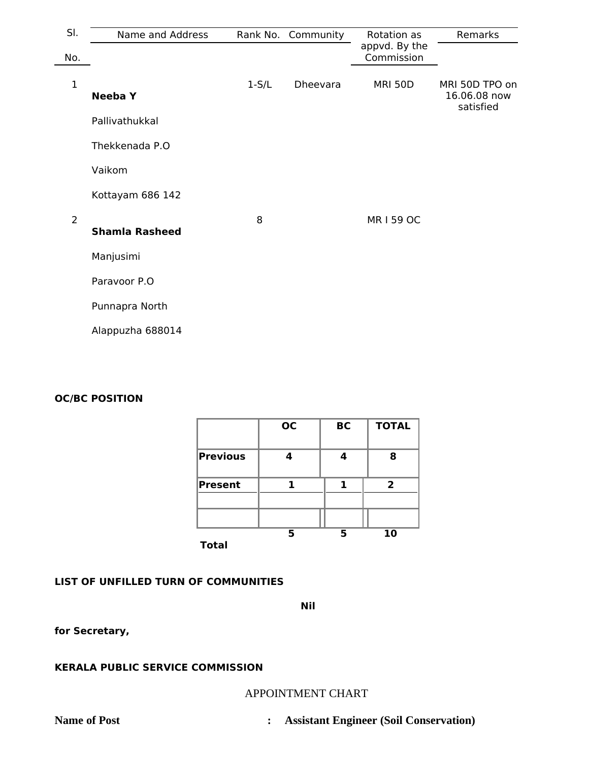| SI.            | Name and Address      |         | Rank No. Community | Rotation as                 | Remarks                                     |
|----------------|-----------------------|---------|--------------------|-----------------------------|---------------------------------------------|
| No.            |                       |         |                    | appvd. By the<br>Commission |                                             |
| $\mathbf{1}$   | <b>Neeba</b> Y        | $1-S/L$ | Dheevara           | <b>MRI 50D</b>              | MRI 50D TPO on<br>16.06.08 now<br>satisfied |
|                | Pallivathukkal        |         |                    |                             |                                             |
|                | Thekkenada P.O        |         |                    |                             |                                             |
|                | Vaikom                |         |                    |                             |                                             |
|                | Kottayam 686 142      |         |                    |                             |                                             |
| $\overline{2}$ | <b>Shamla Rasheed</b> | 8       |                    | <b>MR159 OC</b>             |                                             |
|                | Manjusimi             |         |                    |                             |                                             |
|                | Paravoor P.O          |         |                    |                             |                                             |
|                | Punnapra North        |         |                    |                             |                                             |
|                | Alappuzha 688014      |         |                    |                             |                                             |

### **OC/BC POSITION**

|                 | <b>OC</b> | <b>BC</b> | <b>TOTAL</b>   |
|-----------------|-----------|-----------|----------------|
| <b>Previous</b> | 4         | Δ         | 8              |
| <b>Present</b>  |           |           | $\overline{2}$ |
|                 |           |           |                |
| <b>Total</b>    | 5         | 5         | 10             |

## **LIST OF UNFILLED TURN OF COMMUNITIES**

**Nil**

**for Secretary,**

## **KERALA PUBLIC SERVICE COMMISSION**

### APPOINTMENT CHART

**Name of Post : Assistant Engineer (Soil Conservation)**